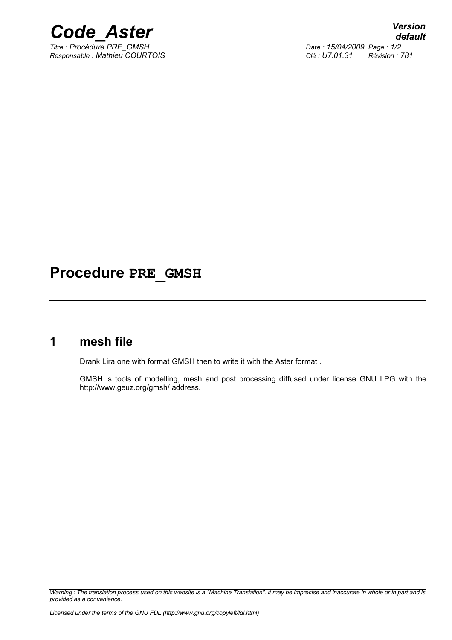

 $\overline{T}$ itre : Procédure PRE\_GMSH *Responsable : Mathieu COURTOIS Clé : U7.01.31 Révision : 781*

# **Procedure PRE\_GMSH**

### **1 mesh file**

Drank Lira one with format GMSH then to write it with the Aster format .

GMSH is tools of modelling, mesh and post processing diffused under license GNU LPG with the http://www.geuz.org/gmsh/ address.

*Warning : The translation process used on this website is a "Machine Translation". It may be imprecise and inaccurate in whole or in part and is provided as a convenience.*